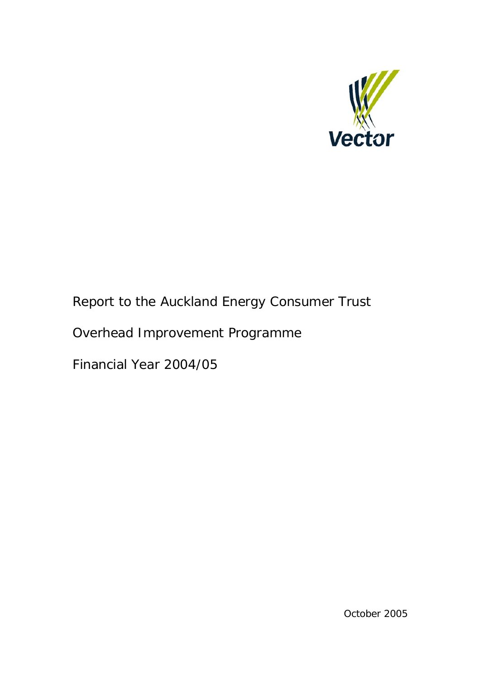

# Report to the Auckland Energy Consumer Trust

# Overhead Improvement Programme

Financial Year 2004/05

October 2005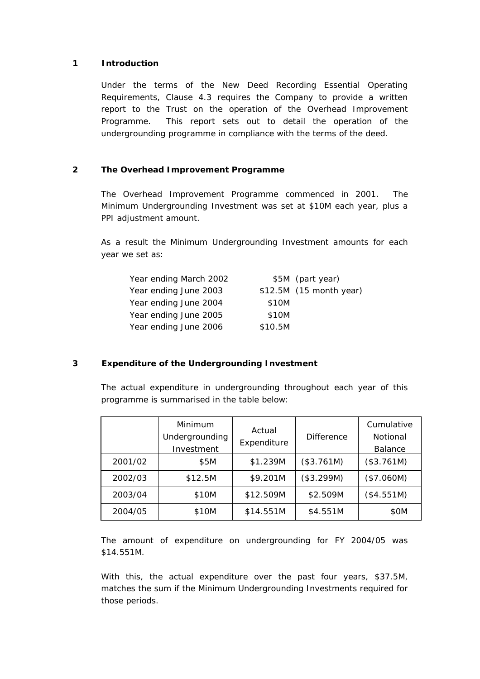### **1 Introduction**

Under the terms of the New Deed Recording Essential Operating Requirements, Clause 4.3 requires the Company to provide a written report to the Trust on the operation of the Overhead Improvement Programme. This report sets out to detail the operation of the undergrounding programme in compliance with the terms of the deed.

## **2 The Overhead Improvement Programme**

The Overhead Improvement Programme commenced in 2001. The Minimum Undergrounding Investment was set at \$10M each year, plus a PPI adjustment amount.

As a result the Minimum Undergrounding Investment amounts for each year we set as:

| Year ending March 2002 |         | \$5M (part year)         |
|------------------------|---------|--------------------------|
| Year ending June 2003  |         | $$12.5M$ (15 month year) |
| Year ending June 2004  | \$10M   |                          |
| Year ending June 2005  | \$10M   |                          |
| Year ending June 2006  | \$10.5M |                          |

## **3 Expenditure of the Undergrounding Investment**

The actual expenditure in undergrounding throughout each year of this programme is summarised in the table below:

|         | Minimum<br>Undergrounding<br>Investment | Actual<br>Expenditure | <b>Difference</b> | Cumulative<br>Notional<br><b>Balance</b> |
|---------|-----------------------------------------|-----------------------|-------------------|------------------------------------------|
| 2001/02 | \$5M                                    | \$1.239M              | (\$3.761M)        | (\$3.761M)                               |
| 2002/03 | \$12.5M                                 | \$9.201M              | (\$3.299M)        | (\$7.060M)                               |
| 2003/04 | \$10M                                   | \$12.509M             | \$2.509M          | (\$4.551M)                               |
| 2004/05 | \$10M                                   | \$14.551M             | \$4.551M          | \$OM                                     |

The amount of expenditure on undergrounding for FY 2004/05 was \$14.551M.

With this, the actual expenditure over the past four years, \$37.5M, matches the sum if the Minimum Undergrounding Investments required for those periods.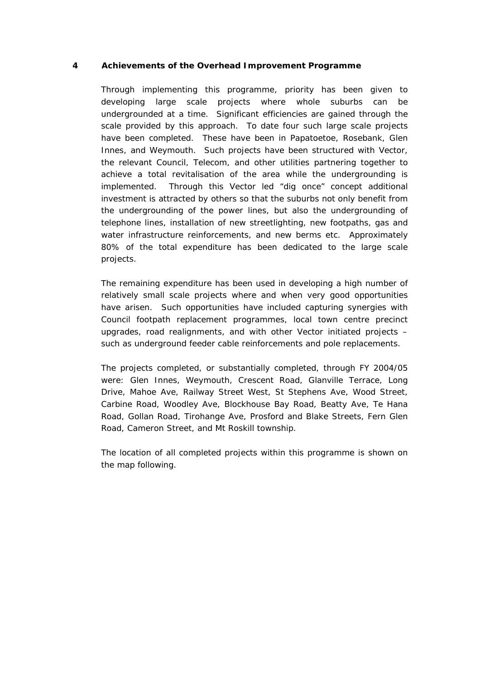#### **4 Achievements of the Overhead Improvement Programme**

Through implementing this programme, priority has been given to developing large scale projects where whole suburbs can be undergrounded at a time. Significant efficiencies are gained through the scale provided by this approach. To date four such large scale projects have been completed. These have been in Papatoetoe, Rosebank, Glen Innes, and Weymouth. Such projects have been structured with Vector, the relevant Council, Telecom, and other utilities partnering together to achieve a total revitalisation of the area while the undergrounding is implemented. Through this Vector led "dig once" concept additional investment is attracted by others so that the suburbs not only benefit from the undergrounding of the power lines, but also the undergrounding of telephone lines, installation of new streetlighting, new footpaths, gas and water infrastructure reinforcements, and new berms etc. Approximately 80% of the total expenditure has been dedicated to the large scale projects.

The remaining expenditure has been used in developing a high number of relatively small scale projects where and when very good opportunities have arisen. Such opportunities have included capturing synergies with Council footpath replacement programmes, local town centre precinct upgrades, road realignments, and with other Vector initiated projects – such as underground feeder cable reinforcements and pole replacements.

The projects completed, or substantially completed, through FY 2004/05 were: Glen Innes, Weymouth, Crescent Road, Glanville Terrace, Long Drive, Mahoe Ave, Railway Street West, St Stephens Ave, Wood Street, Carbine Road, Woodley Ave, Blockhouse Bay Road, Beatty Ave, Te Hana Road, Gollan Road, Tirohange Ave, Prosford and Blake Streets, Fern Glen Road, Cameron Street, and Mt Roskill township.

The location of all completed projects within this programme is shown on the map following.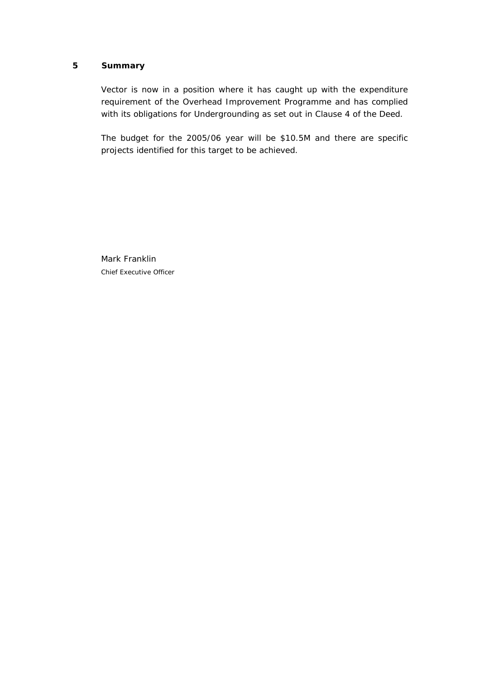#### **5 Summary**

Vector is now in a position where it has caught up with the expenditure requirement of the Overhead Improvement Programme and has complied with its obligations for Undergrounding as set out in Clause 4 of the Deed.

The budget for the 2005/06 year will be \$10.5M and there are specific projects identified for this target to be achieved.

Mark Franklin Chief Executive Officer